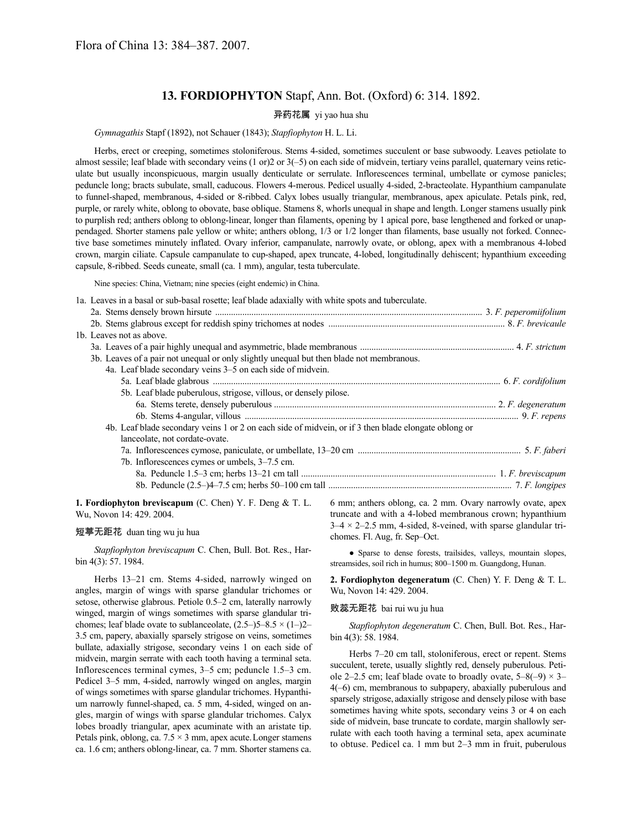# **13. FORDIOPHYTON** Stapf, Ann. Bot. (Oxford) 6: 314. 1892.

# 异药花属 yi yao hua shu

*Gymnagathis* Stapf (1892), not Schauer (1843); *Stapfiophyton* H. L. Li.

Herbs, erect or creeping, sometimes stoloniferous. Stems 4-sided, sometimes succulent or base subwoody. Leaves petiolate to almost sessile; leaf blade with secondary veins (1 or)2 or 3(–5) on each side of midvein, tertiary veins parallel, quaternary veins reticulate but usually inconspicuous, margin usually denticulate or serrulate. Inflorescences terminal, umbellate or cymose panicles; peduncle long; bracts subulate, small, caducous. Flowers 4-merous. Pedicel usually 4-sided, 2-bracteolate. Hypanthium campanulate to funnel-shaped, membranous, 4-sided or 8-ribbed. Calyx lobes usually triangular, membranous, apex apiculate. Petals pink, red, purple, or rarely white, oblong to obovate, base oblique. Stamens 8, whorls unequal in shape and length. Longer stamens usually pink to purplish red; anthers oblong to oblong-linear, longer than filaments, opening by 1 apical pore, base lengthened and forked or unappendaged. Shorter stamens pale yellow or white; anthers oblong, 1/3 or 1/2 longer than filaments, base usually not forked. Connective base sometimes minutely inflated. Ovary inferior, campanulate, narrowly ovate, or oblong, apex with a membranous 4-lobed crown, margin ciliate. Capsule campanulate to cup-shaped, apex truncate, 4-lobed, longitudinally dehiscent; hypanthium exceeding capsule, 8-ribbed. Seeds cuneate, small (ca. 1 mm), angular, testa tuberculate.

Nine species: China, Vietnam; nine species (eight endemic) in China.

1a. Leaves in a basal or sub-basal rosette; leaf blade adaxially with white spots and tuberculate.

| 1b. Leaves not as above.                                                                             |  |
|------------------------------------------------------------------------------------------------------|--|
|                                                                                                      |  |
| 3b. Leaves of a pair not unequal or only slightly unequal but then blade not membranous.             |  |
| 4a. Leaf blade secondary veins 3–5 on each side of midvein.                                          |  |
|                                                                                                      |  |
| 5b. Leaf blade puberulous, strigose, villous, or densely pilose.                                     |  |
|                                                                                                      |  |
|                                                                                                      |  |
| 4b. Leaf blade secondary veins 1 or 2 on each side of midvein, or if 3 then blade elongate oblong or |  |
| lanceolate, not cordate-ovate.                                                                       |  |
|                                                                                                      |  |
| 7b. Inflorescences cymes or umbels, 3-7.5 cm.                                                        |  |
|                                                                                                      |  |
|                                                                                                      |  |
|                                                                                                      |  |

**1. Fordiophyton breviscapum** (C. Chen) Y. F. Deng & T. L. Wu, Novon 14: 429. 2004.

### 短葶无距花 duan ting wu ju hua

*Stapfiophyton breviscapum* C. Chen, Bull. Bot. Res., Harbin 4(3): 57. 1984.

Herbs 13–21 cm. Stems 4-sided, narrowly winged on angles, margin of wings with sparse glandular trichomes or setose, otherwise glabrous. Petiole 0.5–2 cm, laterally narrowly winged, margin of wings sometimes with sparse glandular trichomes; leaf blade ovate to sublanceolate,  $(2.5-5-8.5 \times (1-2-1))$ 3.5 cm, papery, abaxially sparsely strigose on veins, sometimes bullate, adaxially strigose, secondary veins 1 on each side of midvein, margin serrate with each tooth having a terminal seta. Inflorescences terminal cymes, 3–5 cm; peduncle 1.5–3 cm. Pedicel 3–5 mm, 4-sided, narrowly winged on angles, margin of wings sometimes with sparse glandular trichomes. Hypanthium narrowly funnel-shaped, ca. 5 mm, 4-sided, winged on angles, margin of wings with sparse glandular trichomes. Calyx lobes broadly triangular, apex acuminate with an aristate tip. Petals pink, oblong, ca.  $7.5 \times 3$  mm, apex acute. Longer stamens ca. 1.6 cm; anthers oblong-linear, ca. 7 mm. Shorter stamens ca.

6 mm; anthers oblong, ca. 2 mm. Ovary narrowly ovate, apex truncate and with a 4-lobed membranous crown; hypanthium  $3-4 \times 2-2.5$  mm, 4-sided, 8-veined, with sparse glandular trichomes. Fl. Aug, fr. Sep–Oct.

● Sparse to dense forests, trailsides, valleys, mountain slopes, streamsides, soil rich in humus; 800–1500 m. Guangdong, Hunan.

**2. Fordiophyton degeneratum** (C. Chen) Y. F. Deng & T. L. Wu, Novon 14: 429. 2004.

#### 败蕊无距花 bai rui wu ju hua

*Stapfiophyton degeneratum* C. Chen, Bull. Bot. Res., Harbin 4(3): 58. 1984.

Herbs 7–20 cm tall, stoloniferous, erect or repent. Stems succulent, terete, usually slightly red, densely puberulous. Petiole 2–2.5 cm; leaf blade ovate to broadly ovate,  $5-8(-9) \times 3-$ 4(–6) cm, membranous to subpapery, abaxially puberulous and sparsely strigose, adaxially strigose and densely pilose with base sometimes having white spots, secondary veins 3 or 4 on each side of midvein, base truncate to cordate, margin shallowly serrulate with each tooth having a terminal seta, apex acuminate to obtuse. Pedicel ca. 1 mm but 2–3 mm in fruit, puberulous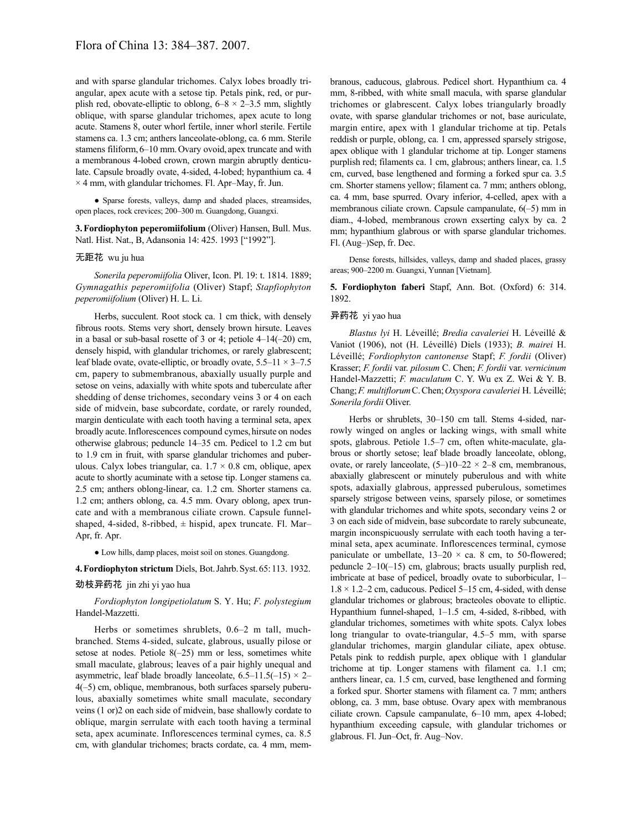and with sparse glandular trichomes. Calyx lobes broadly triangular, apex acute with a setose tip. Petals pink, red, or purplish red, obovate-elliptic to oblong,  $6-8 \times 2-3.5$  mm, slightly oblique, with sparse glandular trichomes, apex acute to long acute. Stamens 8, outer whorl fertile, inner whorl sterile. Fertile stamens ca. 1.3 cm; anthers lanceolate-oblong, ca. 6 mm. Sterile stamens filiform, 6–10 mm. Ovary ovoid, apex truncate and with a membranous 4-lobed crown, crown margin abruptly denticulate. Capsule broadly ovate, 4-sided, 4-lobed; hypanthium ca. 4  $\times$  4 mm, with glandular trichomes. Fl. Apr–May, fr. Jun.

● Sparse forests, valleys, damp and shaded places, streamsides, open places, rock crevices; 200–300 m. Guangdong, Guangxi.

**3.Fordiophyton peperomiifolium** (Oliver) Hansen, Bull. Mus. Natl. Hist. Nat., B, Adansonia 14: 425. 1993 ["1992"].

# 无距花 wu ju hua

*Sonerila peperomiifolia* Oliver, Icon. Pl. 19: t. 1814. 1889; *Gymnagathis peperomiifolia* (Oliver) Stapf; *Stapfiophyton peperomiifolium* (Oliver) H. L. Li.

Herbs, succulent. Root stock ca. 1 cm thick, with densely fibrous roots. Stems very short, densely brown hirsute. Leaves in a basal or sub-basal rosette of 3 or 4; petiole 4–14(–20) cm, densely hispid, with glandular trichomes, or rarely glabrescent; leaf blade ovate, ovate-elliptic, or broadly ovate,  $5.5-11 \times 3-7.5$ cm, papery to submembranous, abaxially usually purple and setose on veins, adaxially with white spots and tuberculate after shedding of dense trichomes, secondary veins 3 or 4 on each side of midvein, base subcordate, cordate, or rarely rounded, margin denticulate with each tooth having a terminal seta, apex broadly acute. Inflorescences compound cymes, hirsute on nodes otherwise glabrous; peduncle 14–35 cm. Pedicel to 1.2 cm but to 1.9 cm in fruit, with sparse glandular trichomes and puberulous. Calyx lobes triangular, ca.  $1.7 \times 0.8$  cm, oblique, apex acute to shortly acuminate with a setose tip. Longer stamens ca. 2.5 cm; anthers oblong-linear, ca. 1.2 cm. Shorter stamens ca. 1.2 cm; anthers oblong, ca. 4.5 mm. Ovary oblong, apex truncate and with a membranous ciliate crown. Capsule funnelshaped, 4-sided, 8-ribbed,  $\pm$  hispid, apex truncate. Fl. Mar– Apr, fr. Apr.

● Low hills, damp places, moist soil on stones. Guangdong.

# **4.Fordiophyton strictum** Diels, Bot.Jahrb.Syst.65:113. 1932.

# 劲枝异药花 jin zhi yi yao hua

*Fordiophyton longipetiolatum* S. Y. Hu; *F. polystegium* Handel-Mazzetti.

Herbs or sometimes shrublets, 0.6–2 m tall, muchbranched. Stems 4-sided, sulcate, glabrous, usually pilose or setose at nodes. Petiole 8(–25) mm or less, sometimes white small maculate, glabrous; leaves of a pair highly unequal and asymmetric, leaf blade broadly lanceolate,  $6.5-11.5(-15) \times 2-$ 4(–5) cm, oblique, membranous, both surfaces sparsely puberulous, abaxially sometimes white small maculate, secondary veins (1 or)2 on each side of midvein, base shallowly cordate to oblique, margin serrulate with each tooth having a terminal seta, apex acuminate. Inflorescences terminal cymes, ca. 8.5 cm, with glandular trichomes; bracts cordate, ca. 4 mm, membranous, caducous, glabrous. Pedicel short. Hypanthium ca. 4 mm, 8-ribbed, with white small macula, with sparse glandular trichomes or glabrescent. Calyx lobes triangularly broadly ovate, with sparse glandular trichomes or not, base auriculate, margin entire, apex with 1 glandular trichome at tip. Petals reddish or purple, oblong, ca. 1 cm, appressed sparsely strigose, apex oblique with 1 glandular trichome at tip. Longer stamens purplish red; filaments ca. 1 cm, glabrous; anthers linear, ca. 1.5 cm, curved, base lengthened and forming a forked spur ca. 3.5 cm. Shorter stamens yellow; filament ca. 7 mm; anthers oblong, ca. 4 mm, base spurred. Ovary inferior, 4-celled, apex with a membranous ciliate crown. Capsule campanulate, 6(–5) mm in diam., 4-lobed, membranous crown exserting calyx by ca. 2 mm; hypanthium glabrous or with sparse glandular trichomes. Fl. (Aug–)Sep, fr. Dec.

Dense forests, hillsides, valleys, damp and shaded places, grassy areas; 900–2200 m. Guangxi, Yunnan [Vietnam].

**5. Fordiophyton faberi** Stapf, Ann. Bot. (Oxford) 6: 314. 1892.

# 异药花 yi yao hua

*Blastus lyi* H. Léveillé; *Bredia cavaleriei* H. Léveillé & Vaniot (1906), not (H. Léveillé) Diels (1933); *B. mairei* H. Léveillé; *Fordiophyton cantonense* Stapf; *F. fordii* (Oliver) Krasser; *F. fordii* var. *pilosum* C. Chen; *F. fordii* var. *vernicinum* Handel-Mazzetti; *F. maculatum* C. Y. Wu ex Z. Wei & Y. B. Chang;*F. multiflorum*C.Chen;*Oxyspora cavaleriei* H. Léveillé; *Sonerila fordii* Oliver.

Herbs or shrublets, 30–150 cm tall. Stems 4-sided, narrowly winged on angles or lacking wings, with small white spots, glabrous. Petiole 1.5–7 cm, often white-maculate, glabrous or shortly setose; leaf blade broadly lanceolate, oblong, ovate, or rarely lanceolate,  $(5-)10-22 \times 2-8$  cm, membranous, abaxially glabrescent or minutely puberulous and with white spots, adaxially glabrous, appressed puberulous, sometimes sparsely strigose between veins, sparsely pilose, or sometimes with glandular trichomes and white spots, secondary veins 2 or 3 on each side of midvein, base subcordate to rarely subcuneate, margin inconspicuously serrulate with each tooth having a terminal seta, apex acuminate. Inflorescences terminal, cymose paniculate or umbellate,  $13-20 \times$  ca. 8 cm, to 50-flowered; peduncle 2–10(–15) cm, glabrous; bracts usually purplish red, imbricate at base of pedicel, broadly ovate to suborbicular, 1–  $1.8 \times 1.2 - 2$  cm, caducous. Pedicel 5–15 cm, 4-sided, with dense glandular trichomes or glabrous; bracteoles obovate to elliptic. Hypanthium funnel-shaped, 1–1.5 cm, 4-sided, 8-ribbed, with glandular trichomes, sometimes with white spots. Calyx lobes long triangular to ovate-triangular, 4.5–5 mm, with sparse glandular trichomes, margin glandular ciliate, apex obtuse. Petals pink to reddish purple, apex oblique with 1 glandular trichome at tip. Longer stamens with filament ca. 1.1 cm; anthers linear, ca. 1.5 cm, curved, base lengthened and forming a forked spur. Shorter stamens with filament ca. 7 mm; anthers oblong, ca. 3 mm, base obtuse. Ovary apex with membranous ciliate crown. Capsule campanulate, 6–10 mm, apex 4-lobed; hypanthium exceeding capsule, with glandular trichomes or glabrous. Fl. Jun–Oct, fr. Aug–Nov.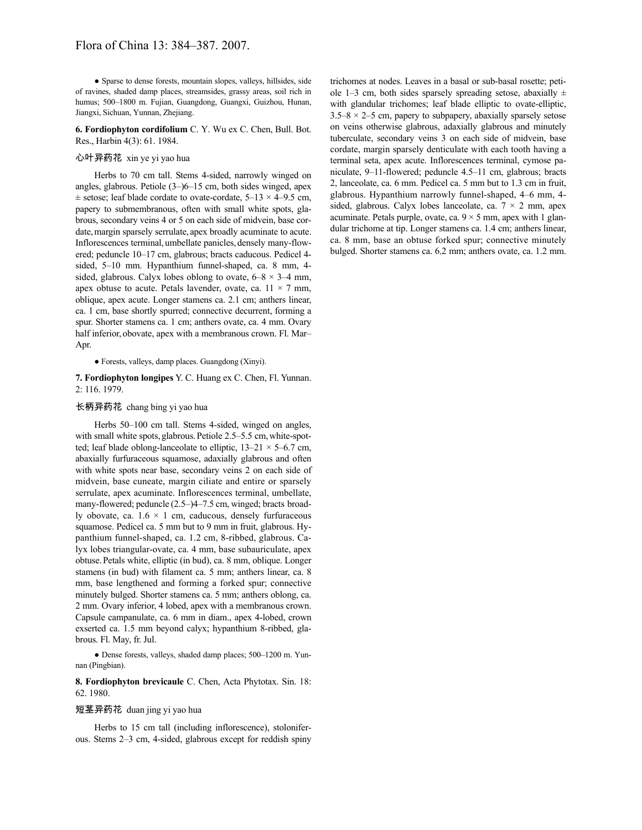● Sparse to dense forests, mountain slopes, valleys, hillsides, side of ravines, shaded damp places, streamsides, grassy areas, soil rich in humus; 500–1800 m. Fujian, Guangdong, Guangxi, Guizhou, Hunan, Jiangxi, Sichuan, Yunnan, Zhejiang.

**6. Fordiophyton cordifolium** C. Y. Wu ex C. Chen, Bull. Bot. Res., Harbin 4(3): 61. 1984.

### 心叶异药花 xin ye yi yao hua

Herbs to 70 cm tall. Stems 4-sided, narrowly winged on angles, glabrous. Petiole (3–)6–15 cm, both sides winged, apex  $\pm$  setose; leaf blade cordate to ovate-cordate, 5–13  $\times$  4–9.5 cm, papery to submembranous, often with small white spots, glabrous, secondary veins 4 or 5 on each side of midvein, base cordate, margin sparsely serrulate, apex broadly acuminate to acute. Inflorescences terminal, umbellate panicles, densely many-flowered; peduncle 10–17 cm, glabrous; bracts caducous. Pedicel 4 sided, 5–10 mm. Hypanthium funnel-shaped, ca. 8 mm, 4 sided, glabrous. Calyx lobes oblong to ovate,  $6-8 \times 3-4$  mm, apex obtuse to acute. Petals lavender, ovate, ca.  $11 \times 7$  mm, oblique, apex acute. Longer stamens ca. 2.1 cm; anthers linear, ca. 1 cm, base shortly spurred; connective decurrent, forming a spur. Shorter stamens ca. 1 cm; anthers ovate, ca. 4 mm. Ovary half inferior, obovate, apex with a membranous crown. Fl. Mar– Apr.

● Forests, valleys, damp places. Guangdong (Xinyi).

**7. Fordiophyton longipes** Y. C. Huang ex C. Chen, Fl. Yunnan. 2: 116. 1979.

# 长柄异药花 chang bing yi yao hua

Herbs 50–100 cm tall. Stems 4-sided, winged on angles, with small white spots, glabrous. Petiole 2.5–5.5 cm, white-spotted; leaf blade oblong-lanceolate to elliptic,  $13-21 \times 5-6.7$  cm, abaxially furfuraceous squamose, adaxially glabrous and often with white spots near base, secondary veins 2 on each side of midvein, base cuneate, margin ciliate and entire or sparsely serrulate, apex acuminate. Inflorescences terminal, umbellate, many-flowered; peduncle (2.5–)4–7.5 cm, winged; bracts broadly obovate, ca.  $1.6 \times 1$  cm, caducous, densely furfuraceous squamose. Pedicel ca. 5 mm but to 9 mm in fruit, glabrous. Hypanthium funnel-shaped, ca. 1.2 cm, 8-ribbed, glabrous. Calyx lobes triangular-ovate, ca. 4 mm, base subauriculate, apex obtuse.Petals white, elliptic (in bud), ca. 8 mm, oblique. Longer stamens (in bud) with filament ca. 5 mm; anthers linear, ca. 8 mm, base lengthened and forming a forked spur; connective minutely bulged. Shorter stamens ca. 5 mm; anthers oblong, ca. 2 mm. Ovary inferior, 4 lobed, apex with a membranous crown. Capsule campanulate, ca. 6 mm in diam., apex 4-lobed, crown exserted ca. 1.5 mm beyond calyx; hypanthium 8-ribbed, glabrous. Fl. May, fr. Jul.

● Dense forests, valleys, shaded damp places; 500–1200 m. Yunnan (Pingbian).

**8. Fordiophyton brevicaule** C. Chen, Acta Phytotax. Sin. 18: 62. 1980.

# 短茎异药花 duan jing yi yao hua

Herbs to 15 cm tall (including inflorescence), stoloniferous. Stems 2–3 cm, 4-sided, glabrous except for reddish spiny trichomes at nodes. Leaves in a basal or sub-basal rosette; petiole 1–3 cm, both sides sparsely spreading setose, abaxially  $\pm$ with glandular trichomes; leaf blade elliptic to ovate-elliptic,  $3.5-8 \times 2-5$  cm, papery to subpapery, abaxially sparsely setose on veins otherwise glabrous, adaxially glabrous and minutely tuberculate, secondary veins 3 on each side of midvein, base cordate, margin sparsely denticulate with each tooth having a terminal seta, apex acute. Inflorescences terminal, cymose paniculate, 9–11-flowered; peduncle 4.5–11 cm, glabrous; bracts 2, lanceolate, ca. 6 mm. Pedicel ca. 5 mm but to 1.3 cm in fruit, glabrous. Hypanthium narrowly funnel-shaped, 4–6 mm, 4 sided, glabrous. Calyx lobes lanceolate, ca.  $7 \times 2$  mm, apex acuminate. Petals purple, ovate, ca.  $9 \times 5$  mm, apex with 1 glandular trichome at tip. Longer stamens ca. 1.4 cm; anthers linear, ca. 8 mm, base an obtuse forked spur; connective minutely bulged. Shorter stamens ca. 6.2 mm; anthers ovate, ca. 1.2 mm.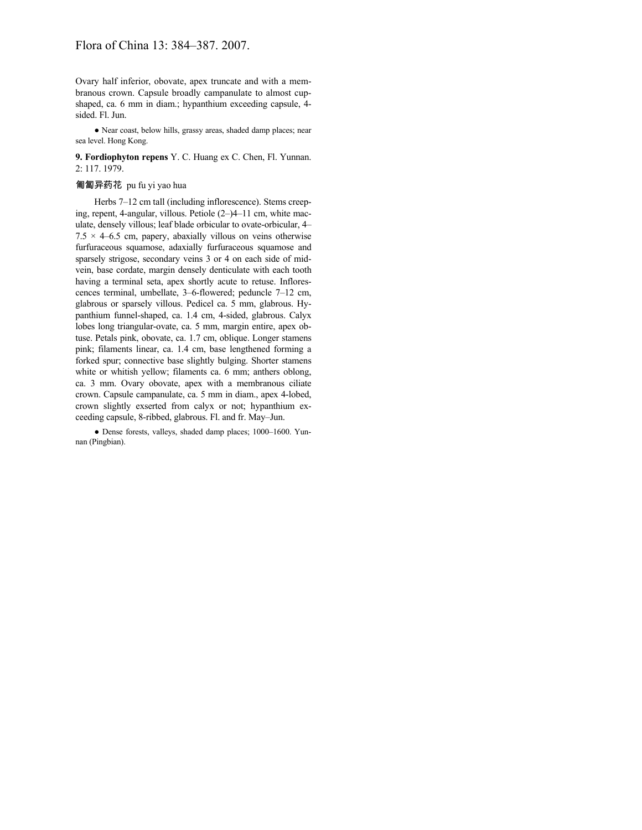Ovary half inferior, obovate, apex truncate and with a membranous crown. Capsule broadly campanulate to almost cupshaped, ca. 6 mm in diam.; hypanthium exceeding capsule, 4 sided. Fl. Jun.

● Near coast, below hills, grassy areas, shaded damp places; near sea level. Hong Kong.

**9. Fordiophyton repens** Y. C. Huang ex C. Chen, Fl. Yunnan. 2: 117. 1979.

#### 匍匐异药花 pu fu yi yao hua

Herbs 7–12 cm tall (including inflorescence). Stems creeping, repent, 4-angular, villous. Petiole (2–)4–11 cm, white maculate, densely villous; leaf blade orbicular to ovate-orbicular, 4–  $7.5 \times 4 - 6.5$  cm, papery, abaxially villous on veins otherwise furfuraceous squamose, adaxially furfuraceous squamose and sparsely strigose, secondary veins 3 or 4 on each side of midvein, base cordate, margin densely denticulate with each tooth having a terminal seta, apex shortly acute to retuse. Inflorescences terminal, umbellate, 3–6-flowered; peduncle 7–12 cm, glabrous or sparsely villous. Pedicel ca. 5 mm, glabrous. Hypanthium funnel-shaped, ca. 1.4 cm, 4-sided, glabrous. Calyx lobes long triangular-ovate, ca. 5 mm, margin entire, apex obtuse. Petals pink, obovate, ca. 1.7 cm, oblique. Longer stamens pink; filaments linear, ca. 1.4 cm, base lengthened forming a forked spur; connective base slightly bulging. Shorter stamens white or whitish yellow; filaments ca. 6 mm; anthers oblong, ca. 3 mm. Ovary obovate, apex with a membranous ciliate crown. Capsule campanulate, ca. 5 mm in diam., apex 4-lobed, crown slightly exserted from calyx or not; hypanthium exceeding capsule, 8-ribbed, glabrous. Fl. and fr. May–Jun.

● Dense forests, valleys, shaded damp places; 1000–1600. Yunnan (Pingbian).